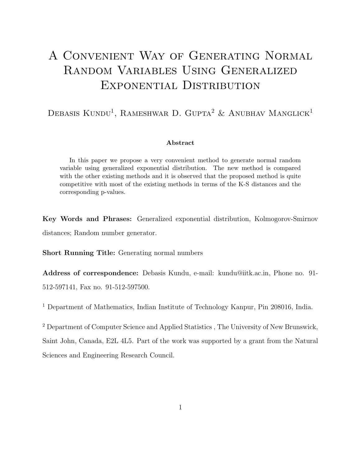# A Convenient Way of Generating Normal Random Variables Using Generalized Exponential Distribution

### DEBASIS KUNDU<sup>1</sup>, RAMESHWAR D. GUPTA<sup>2</sup> & ANUBHAV MANGLICK<sup>1</sup>

#### Abstract

In this paper we propose a very convenient method to generate normal random variable using generalized exponential distribution. The new method is compared with the other existing methods and it is observed that the proposed method is quite competitive with most of the existing methods in terms of the K-S distances and the corresponding p-values.

Key Words and Phrases: Generalized exponential distribution, Kolmogorov-Smirnov distances; Random number generator.

Short Running Title: Generating normal numbers

Address of correspondence: Debasis Kundu, e-mail: kundu@iitk.ac.in, Phone no. 91- 512-597141, Fax no. 91-512-597500.

<sup>1</sup> Department of Mathematics, Indian Institute of Technology Kanpur, Pin 208016, India.

<sup>2</sup> Department of Computer Science and Applied Statistics , The University of New Brunswick, Saint John, Canada, E2L 4L5. Part of the work was supported by a grant from the Natural Sciences and Engineering Research Council.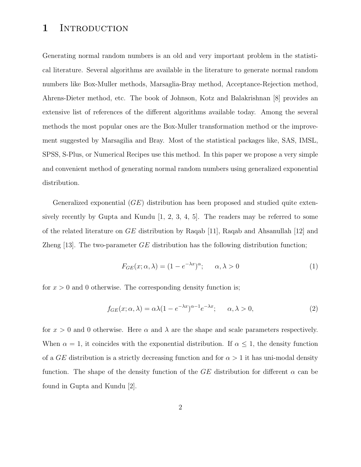# 1 INTRODUCTION

Generating normal random numbers is an old and very important problem in the statistical literature. Several algorithms are available in the literature to generate normal random numbers like Box-Muller methods, Marsaglia-Bray method, Acceptance-Rejection method, Ahrens-Dieter method, etc. The book of Johnson, Kotz and Balakrishnan [8] provides an extensive list of references of the different algorithms available today. Among the several methods the most popular ones are the Box-Muller transformation method or the improvement suggested by Marsagilia and Bray. Most of the statistical packages like, SAS, IMSL, SPSS, S-Plus, or Numerical Recipes use this method. In this paper we propose a very simple and convenient method of generating normal random numbers using generalized exponential distribution.

Generalized exponential  $(GE)$  distribution has been proposed and studied quite extensively recently by Gupta and Kundu [1, 2, 3, 4, 5]. The readers may be referred to some of the related literature on GE distribution by Raqab [11], Raqab and Ahsanullah [12] and Zheng [13]. The two-parameter  $GE$  distribution has the following distribution function;

$$
F_{GE}(x; \alpha, \lambda) = (1 - e^{-\lambda x})^{\alpha}; \qquad \alpha, \lambda > 0
$$
 (1)

for  $x > 0$  and 0 otherwise. The corresponding density function is;

$$
f_{GE}(x; \alpha, \lambda) = \alpha \lambda (1 - e^{-\lambda x})^{\alpha - 1} e^{-\lambda x}; \qquad \alpha, \lambda > 0,
$$
 (2)

for  $x > 0$  and 0 otherwise. Here  $\alpha$  and  $\lambda$  are the shape and scale parameters respectively. When  $\alpha = 1$ , it coincides with the exponential distribution. If  $\alpha \leq 1$ , the density function of a GE distribution is a strictly decreasing function and for  $\alpha > 1$  it has uni-modal density function. The shape of the density function of the GE distribution for different  $\alpha$  can be found in Gupta and Kundu [2].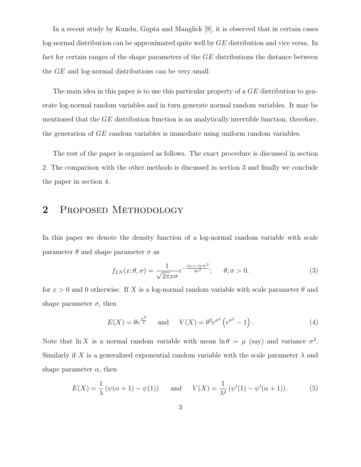In a recent study by Kundu, Gupta and Manglick [9], it is observed that in certain cases log-normal distribution can be approximated quite well by GE distribution and vice versa. In fact for certain ranges of the shape parameters of the GE distributions the distance between the GE and log-normal distributions can be very small.

The main idea in this paper is to use this particular property of a  $GE$  distribution to generate log-normal random variables and in turn generate normal random variables. It may be mentioned that the  $GE$  distribution function is an analytically invertible function, therefore, the generation of GE random variables is immediate using uniform random variables.

The rest of the paper is organized as follows. The exact procedure is discussed in section 2. The comparison with the other methods is discussed in section 3 and finally we conclude the paper in section 4.

# 2 Proposed Methodology

In this paper we denote the density function of a log-normal random variable with scale parameter  $\theta$  and shape parameter  $\sigma$  as

$$
f_{LN}(x; \theta, \sigma) = \frac{1}{\sqrt{2\pi}x\sigma} e^{-\frac{(\ln x - \ln \theta)^2}{2\sigma^2}}; \quad \theta, \sigma > 0.
$$
 (3)

for  $x > 0$  and 0 otherwise. If X is a log-normal random variable with scale parameter  $\theta$  and shape parameter  $\sigma$ , then

$$
E(X) = \theta e^{\frac{\sigma^2}{2}} \quad \text{and} \quad V(X) = \theta^2 e^{\sigma^2} \left( e^{\sigma^2} - 1 \right). \tag{4}
$$

Note that ln X is a normal random variable with mean  $\ln \theta = \mu$  (say) and variance  $\sigma^2$ . Similarly if X is a generalized exponential random variable with the scale parameter  $\lambda$  and shape parameter  $\alpha$ , then

$$
E(X) = \frac{1}{\lambda} (\psi(\alpha + 1) - \psi(1)) \quad \text{and} \quad V(X) = \frac{1}{\lambda^2} (\psi'(1) - \psi'(\alpha + 1)). \tag{5}
$$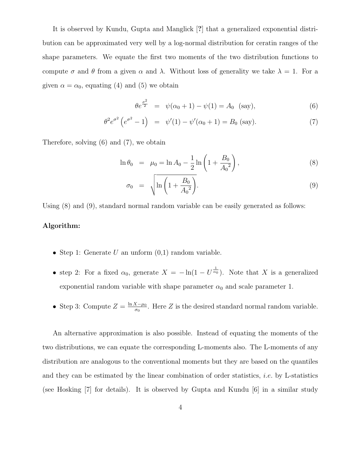It is observed by Kundu, Gupta and Manglick [?] that a generalized exponential distribution can be approximated very well by a log-normal distribution for ceratin ranges of the shape parameters. We equate the first two moments of the two distribution functions to compute  $\sigma$  and  $\theta$  from a given  $\alpha$  and  $\lambda$ . Without loss of generality we take  $\lambda = 1$ . For a given  $\alpha = \alpha_0$ , equating (4) and (5) we obtain

$$
\theta e^{\frac{\sigma^2}{2}} = \psi(\alpha_0 + 1) - \psi(1) = A_0 \text{ (say)}, \tag{6}
$$

$$
\theta^2 e^{\sigma^2} \left( e^{\sigma^2} - 1 \right) = \psi'(1) - \psi'(\alpha_0 + 1) = B_0 \text{ (say)}.
$$
 (7)

Therefore, solving (6) and (7), we obtain

$$
\ln \theta_0 = \mu_0 = \ln A_0 - \frac{1}{2} \ln \left( 1 + \frac{B_0}{A_0^2} \right), \tag{8}
$$

$$
\sigma_0 = \sqrt{\ln\left(1 + \frac{B_0}{A_0^2}\right)}.
$$
\n(9)

Using (8) and (9), standard normal random variable can be easily generated as follows:

#### Algorithm:

- Step 1: Generate  $U$  an unform  $(0,1)$  random variable.
- step 2: For a fixed  $\alpha_0$ , generate  $X = -\ln(1 U^{\frac{1}{\alpha_0}})$ . Note that X is a generalized exponential random variable with shape parameter  $\alpha_0$  and scale parameter 1.
- Step 3: Compute  $Z = \frac{\ln X \mu_0}{\sigma_0}$  $\frac{X-\mu_0}{\sigma_0}$ . Here Z is the desired standard normal random variable.

An alternative approximation is also possible. Instead of equating the moments of the two distributions, we can equate the corresponding L-moments also. The L-moments of any distribution are analogous to the conventional moments but they are based on the quantiles and they can be estimated by the linear combination of order statistics, *i.e.* by L-statistics (see Hosking [7] for details). It is observed by Gupta and Kundu [6] in a similar study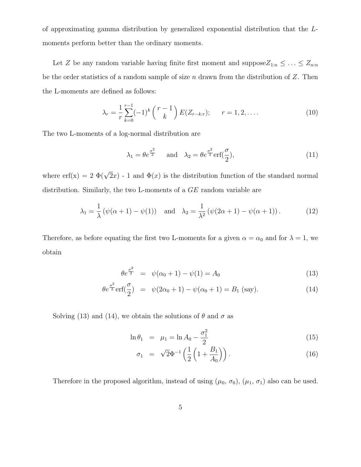of approximating gamma distribution by generalized exponential distribution that the Lmoments perform better than the ordinary moments.

Let Z be any random variable having finite first moment and suppose  $Z_{1:n} \leq \ldots \leq Z_{n:n}$ be the order statistics of a random sample of size  $n$  drawn from the distribution of Z. Then the L-moments are defined as follows:

$$
\lambda_r = \frac{1}{r} \sum_{k=0}^{r-1} (-1)^k {r-1 \choose k} E(Z_{r-k:r}); \qquad r = 1, 2, \dots \tag{10}
$$

The two L-moments of a log-normal distribution are

$$
\lambda_1 = \theta e^{\frac{\sigma^2}{2}}
$$
 and  $\lambda_2 = \theta e^{\frac{\sigma^2}{2}} \text{erf}(\frac{\sigma}{2}),$ \n(11)

where erf(x) = 2  $\Phi(\sqrt{2}x)$  - 1 and  $\Phi(x)$  is the distribution function of the standard normal distribution. Similarly, the two L-moments of a GE random variable are

$$
\lambda_1 = \frac{1}{\lambda} (\psi(\alpha + 1) - \psi(1))
$$
 and  $\lambda_2 = \frac{1}{\lambda^2} (\psi(2\alpha + 1) - \psi(\alpha + 1)).$  (12)

Therefore, as before equating the first two L-moments for a given  $\alpha = \alpha_0$  and for  $\lambda = 1$ , we obtain

$$
\theta e^{\frac{\sigma^2}{2}} = \psi(\alpha_0 + 1) - \psi(1) = A_0 \tag{13}
$$

$$
\theta e^{\frac{\sigma^2}{2}} \text{erf}(\frac{\sigma}{2}) = \psi(2\alpha_0 + 1) - \psi(\alpha_0 + 1) = B_1 \text{ (say)}.
$$
 (14)

Solving (13) and (14), we obtain the solutions of  $\theta$  and  $\sigma$  as

$$
\ln \theta_1 = \mu_1 = \ln A_0 - \frac{\sigma_1^2}{2} \tag{15}
$$

$$
\sigma_1 = \sqrt{2}\Phi^{-1}\left(\frac{1}{2}\left(1 + \frac{B_1}{A_0}\right)\right). \tag{16}
$$

Therefore in the proposed algorithm, instead of using  $(\mu_0, \sigma_0)$ ,  $(\mu_1, \sigma_1)$  also can be used.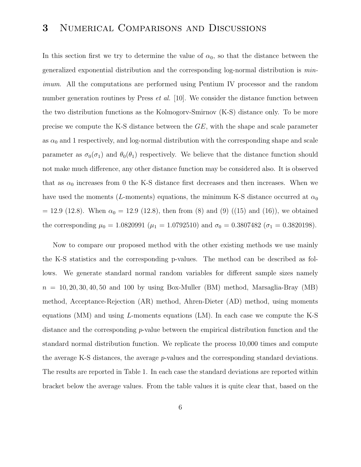# 3 Numerical Comparisons and Discussions

In this section first we try to determine the value of  $\alpha_0$ , so that the distance between the generalized exponential distribution and the corresponding log-normal distribution is minimum. All the computations are performed using Pentium IV processor and the random number generation routines by Press  $et \ al.$  [10]. We consider the distance function between the two distribution functions as the Kolmogorv-Smirnov (K-S) distance only. To be more precise we compute the K-S distance between the GE, with the shape and scale parameter as  $\alpha_0$  and 1 respectively, and log-normal distribution with the corresponding shape and scale parameter as  $\sigma_0(\sigma_1)$  and  $\theta_0(\theta_1)$  respectively. We believe that the distance function should not make much difference, any other distance function may be considered also. It is observed that as  $\alpha_0$  increases from 0 the K-S distance first decreases and then increases. When we have used the moments (L-moments) equations, the minimum K-S distance occurred at  $\alpha_0$  $= 12.9$  (12.8). When  $\alpha_0 = 12.9$  (12.8), then from (8) and (9) ((15) and (16)), we obtained the corresponding  $\mu_0 = 1.0820991$  ( $\mu_1 = 1.0792510$ ) and  $\sigma_0 = 0.3807482$  ( $\sigma_1 = 0.3820198$ ).

Now to compare our proposed method with the other existing methods we use mainly the K-S statistics and the corresponding p-values. The method can be described as follows. We generate standard normal random variables for different sample sizes namely  $n = 10, 20, 30, 40, 50$  and 100 by using Box-Muller (BM) method, Marsaglia-Bray (MB) method, Acceptance-Rejection (AR) method, Ahren-Dieter (AD) method, using moments equations (MM) and using L-moments equations (LM). In each case we compute the K-S distance and the corresponding p-value between the empirical distribution function and the standard normal distribution function. We replicate the process 10,000 times and compute the average K-S distances, the average p-values and the corresponding standard deviations. The results are reported in Table 1. In each case the standard deviations are reported within bracket below the average values. From the table values it is quite clear that, based on the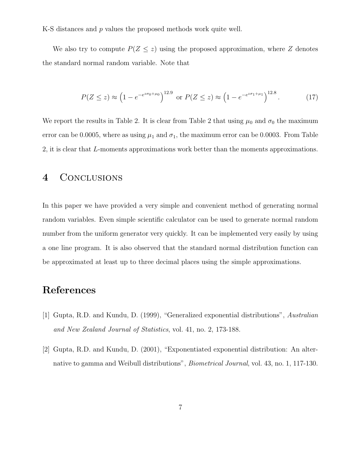K-S distances and p values the proposed methods work quite well.

We also try to compute  $P(Z \leq z)$  using the proposed approximation, where Z denotes the standard normal random variable. Note that

$$
P(Z \le z) \approx \left(1 - e^{-e^{z\sigma_0 + \mu_0}}\right)^{12.9} \text{ or } P(Z \le z) \approx \left(1 - e^{-e^{z\sigma_1 + \mu_1}}\right)^{12.8}.\tag{17}
$$

We report the results in Table 2. It is clear from Table 2 that using  $\mu_0$  and  $\sigma_0$  the maximum error can be 0.0005, where as using  $\mu_1$  and  $\sigma_1$ , the maximum error can be 0.0003. From Table 2, it is clear that L-moments approximations work better than the moments approximations.

### 4 CONCLUSIONS

In this paper we have provided a very simple and convenient method of generating normal random variables. Even simple scientific calculator can be used to generate normal random number from the uniform generator very quickly. It can be implemented very easily by using a one line program. It is also observed that the standard normal distribution function can be approximated at least up to three decimal places using the simple approximations.

# References

- [1] Gupta, R.D. and Kundu, D. (1999), "Generalized exponential distributions", Australian and New Zealand Journal of Statistics, vol. 41, no. 2, 173-188.
- [2] Gupta, R.D. and Kundu, D. (2001), "Exponentiated exponential distribution: An alternative to gamma and Weibull distributions", Biometrical Journal, vol. 43, no. 1, 117-130.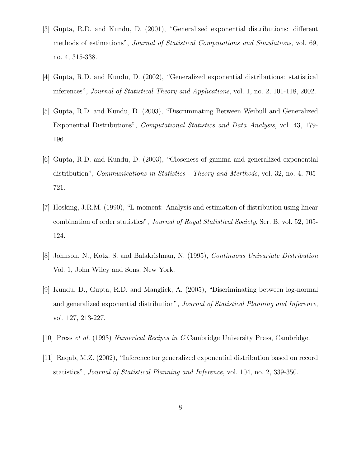- [3] Gupta, R.D. and Kundu, D. (2001), "Generalized exponential distributions: different methods of estimations", Journal of Statistical Computations and Simulations, vol. 69, no. 4, 315-338.
- [4] Gupta, R.D. and Kundu, D. (2002), "Generalized exponential distributions: statistical inferences", Journal of Statistical Theory and Applications, vol. 1, no. 2, 101-118, 2002.
- [5] Gupta, R.D. and Kundu, D. (2003), "Discriminating Between Weibull and Generalized Exponential Distributions", Computational Statistics and Data Analysis, vol. 43, 179- 196.
- [6] Gupta, R.D. and Kundu, D. (2003), "Closeness of gamma and generalized exponential distribution", Communications in Statistics - Theory and Merthods, vol. 32, no. 4, 705- 721.
- [7] Hosking, J.R.M. (1990), "L-moment: Analysis and estimation of distribution using linear combination of order statistics", Journal of Royal Statistical Society, Ser. B, vol. 52, 105- 124.
- [8] Johnson, N., Kotz, S. and Balakrishnan, N. (1995), Continuous Univariate Distribution Vol. 1, John Wiley and Sons, New York.
- [9] Kundu, D., Gupta, R.D. and Manglick, A. (2005), "Discriminating between log-normal and generalized exponential distribution", Journal of Statistical Planning and Inference, vol. 127, 213-227.
- [10] Press et al. (1993) Numerical Recipes in C Cambridge University Press, Cambridge.
- [11] Raqab, M.Z. (2002), "Inference for generalized exponential distribution based on record statistics", Journal of Statistical Planning and Inference, vol. 104, no. 2, 339-350.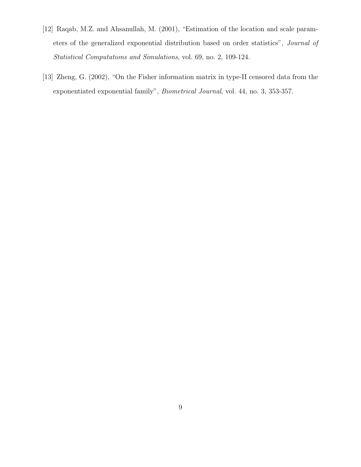- [12] Raqab, M.Z. and Ahsanullah, M. (2001), "Estimation of the location and scale parameters of the generalized exponential distribution based on order statistics", Journal of Statistical Computations and Simulations, vol. 69, no. 2, 109-124.
- [13] Zheng, G. (2002), "On the Fisher information matrix in type-II censored data from the exponentiated exponential family", Biometrical Journal, vol. 44, no. 3, 353-357.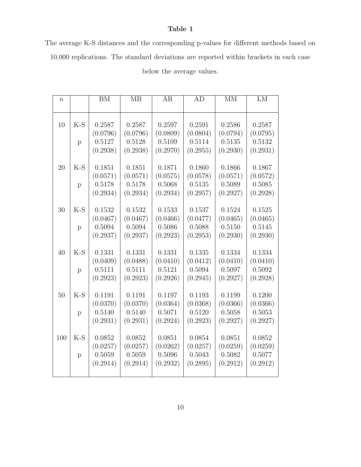#### Table 1

The average K-S distances and the corresponding p-values for different methods based on

10,000 replications. The standard deviations are reported within brackets in each case

| $\boldsymbol{n}$ |              | BM       | $\overline{MB}$ | AR       | AD       | $\overline{\text{MM}}$ | LM       |
|------------------|--------------|----------|-----------------|----------|----------|------------------------|----------|
|                  |              |          |                 |          |          |                        |          |
|                  |              |          |                 |          |          |                        |          |
| 10               | $K-S$        | 0.2587   | 0.2587          | 0.2597   | 0.2591   | 0.2586                 | 0.2587   |
|                  |              | (0.0796) | (0.0796)        | (0.0809) | (0.0804) | (0.0794)               | (0.0795) |
|                  | p            | 0.5127   | 0.5128          | 0.5109   | 0.5114   | 0.5135                 | 0.5132   |
|                  |              | (0.2938) | (0.2938)        | (0.2970) | (0.2955) | (0.2930)               | (0.2931) |
|                  |              |          |                 |          |          |                        |          |
| 20               | $K-S$        | 0.1851   | 0.1851          | 0.1871   | 0.1860   | 0.1866                 | 0.1867   |
|                  |              | (0.0571) | (0.0571)        | (0.0575) | (0.0578) | (0.0571)               | (0.0572) |
|                  | $\mathbf{p}$ | 0.5178   | 0.5178          | 0.5068   | 0.5135   | 0.5089                 | 0.5085   |
|                  |              | (0.2934) | (0.2934)        | (0.2934) | (0.2957) | (0.2927)               | (0.2928) |
|                  |              |          |                 |          |          |                        |          |
| 30               | $K-S$        | 0.1532   | 0.1532          | 0.1533   | 0.1537   | 0.1524                 | 0.1525   |
|                  |              | (0.0467) | (0.0467)        | (0.0466) | (0.0477) | (0.0465)               | (0.0465) |
|                  | p            | 0.5094   | 0.5094          | 0.5086   | 0.5088   | 0.5150                 | 0.5145   |
|                  |              | (0.2937) | (0.2937)        | (0.2923) | (0.2953) | (0.2930)               | (0.2930) |
|                  |              |          |                 |          |          |                        |          |
| 40               | $K-S$        | 0.1331   | 0.1331          | 0.1331   | 0.1335   | 0.1334                 | 0.1334   |
|                  |              | (0.0409) | (0.0488)        | (0.0410) | (0.0412) | (0.0410)               | (0.0410) |
|                  | p            | 0.5111   | 0.5111          | 0.5121   | 0.5094   | 0.5097                 | 0.5092   |
|                  |              | (0.2923) | (0.2923)        | (0.2926) | (0.2945) | (0.2927)               | (0.2928) |
|                  |              |          |                 |          |          |                        |          |
| 50               | $K-S$        | 0.1191   | 0.1191          | 0.1197   | 0.1193   | 0.1199                 | 0.1200   |
|                  |              | (0.0370) | (0.0370)        | (0.0364) | (0.0368) | (0.0366)               | (0.0366) |
|                  | p            | 0.5140   | 0.5140          | 0.5071   | 0.5120   | 0.5058                 | 0.5053   |
|                  |              | (0.2931) | (0.2931)        | (0.2924) | (0.2923) | (0.2927)               | (0.2927) |
|                  |              |          |                 |          |          |                        |          |
| 100              | $K-S$        | 0.0852   | 0.0852          | 0.0851   | 0.0854   | 0.0851                 | 0.0852   |
|                  |              | (0.0257) | (0.0257)        | (0.0262) | (0.0257) | (0.0259)               | (0.0259) |
|                  | p            | 0.5059   | 0.5059          | 0.5096   | 0.5043   | 0.5082                 | 0.5077   |
|                  |              | (0.2914) | (0.2914)        | (0.2932) | (0.2895) | (0.2912)               | (0.2912) |
|                  |              |          |                 |          |          |                        |          |

### below the average values.